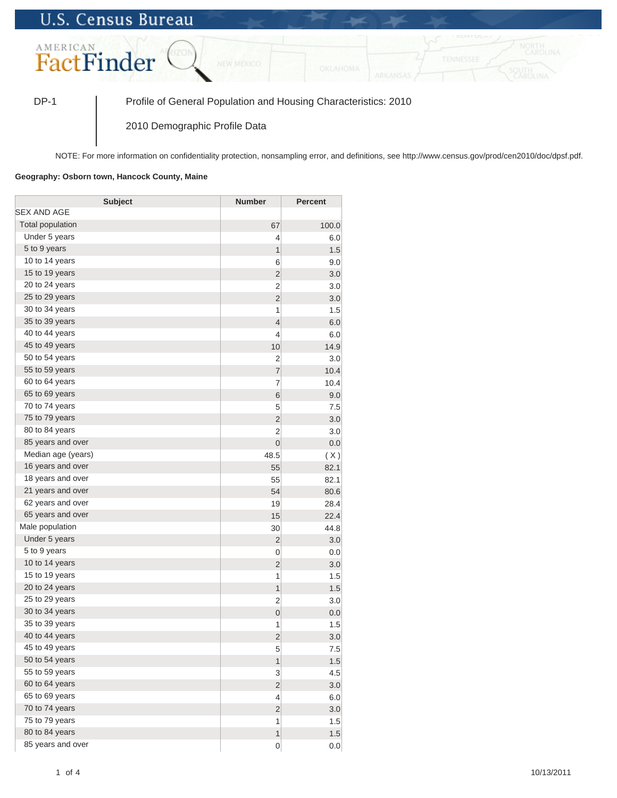## **U.S. Census Bureau**



DP-1 Profile of General Population and Housing Characteristics: 2010

2010 Demographic Profile Data

NOTE: For more information on confidentiality protection, nonsampling error, and definitions, see http://www.census.gov/prod/cen2010/doc/dpsf.pdf.

## **Geography: Osborn town, Hancock County, Maine**

| <b>Subject</b>     | <b>Number</b>  | <b>Percent</b> |
|--------------------|----------------|----------------|
| SEX AND AGE        |                |                |
| Total population   | 67             | 100.0          |
| Under 5 years      | 4              | 6.0            |
| 5 to 9 years       | $\mathbf{1}$   | 1.5            |
| 10 to 14 years     | 6              | 9.0            |
| 15 to 19 years     | $\overline{2}$ | 3.0            |
| 20 to 24 years     | 2              | 3.0            |
| 25 to 29 years     | $\overline{2}$ | 3.0            |
| 30 to 34 years     | 1              | 1.5            |
| 35 to 39 years     | 4              | 6.0            |
| 40 to 44 years     | 4              | 6.0            |
| 45 to 49 years     | 10             | 14.9           |
| 50 to 54 years     | $\overline{2}$ | 3.0            |
| 55 to 59 years     | $\overline{7}$ | 10.4           |
| 60 to 64 years     | 7              | 10.4           |
| 65 to 69 years     | 6              | 9.0            |
| 70 to 74 years     | 5              | 7.5            |
| 75 to 79 years     | $\overline{c}$ | 3.0            |
| 80 to 84 years     | $\overline{2}$ | 3.0            |
| 85 years and over  | $\mathbf 0$    | 0.0            |
| Median age (years) | 48.5           | (X)            |
| 16 years and over  | 55             | 82.1           |
| 18 years and over  | 55             | 82.1           |
| 21 years and over  | 54             | 80.6           |
| 62 years and over  | 19             | 28.4           |
| 65 years and over  | 15             | 22.4           |
| Male population    | 30             | 44.8           |
| Under 5 years      | $\overline{2}$ | 3.0            |
| 5 to 9 years       | 0              | 0.0            |
| 10 to 14 years     | $\overline{2}$ | 3.0            |
| 15 to 19 years     | 1              | 1.5            |
| 20 to 24 years     | $\mathbf{1}$   | 1.5            |
| 25 to 29 years     | $\overline{2}$ | 3.0            |
| 30 to 34 years     | 0              | 0.0            |
| 35 to 39 years     | 1              | 1.5            |
| 40 to 44 years     | $\overline{2}$ | 3.0            |
| 45 to 49 years     | 5              | 7.5            |
| 50 to 54 years     | 1              | 1.5            |
| 55 to 59 years     | 3              | 4.5            |
| 60 to 64 years     | $\overline{2}$ | 3.0            |
| 65 to 69 years     | $\overline{4}$ | 6.0            |
| 70 to 74 years     | $\overline{c}$ | 3.0            |
| 75 to 79 years     | 1              | 1.5            |
| 80 to 84 years     | $\overline{1}$ | 1.5            |
| 85 years and over  | $\mathbf 0$    | 0.0            |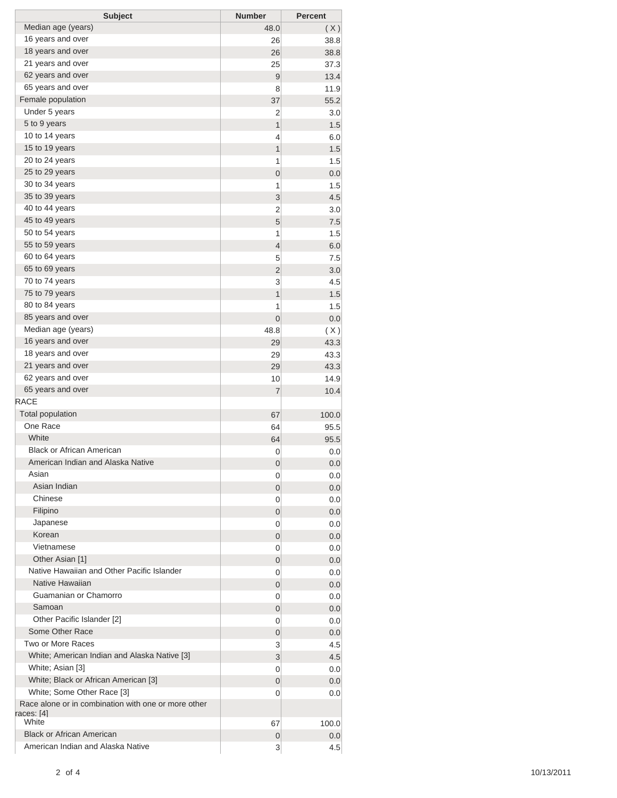| <b>Subject</b>                                      | <b>Number</b>    | <b>Percent</b> |
|-----------------------------------------------------|------------------|----------------|
| Median age (years)                                  | 48.0             | (X)            |
| 16 years and over                                   | 26               | 38.8           |
| 18 years and over                                   | 26               | 38.8           |
| 21 years and over                                   | 25               | 37.3           |
| 62 years and over                                   | 9                | 13.4           |
| 65 years and over                                   | 8                | 11.9           |
| Female population                                   | 37               | 55.2           |
| Under 5 years                                       | 2                | 3.0            |
| 5 to 9 years                                        | $\mathbf{1}$     | 1.5            |
| 10 to 14 years                                      | 4                | 6.0            |
| 15 to 19 years                                      | 1                | 1.5            |
| 20 to 24 years                                      | 1                | 1.5            |
| 25 to 29 years                                      | $\mathbf 0$      | 0.0            |
| 30 to 34 years                                      | 1                | 1.5            |
| 35 to 39 years                                      | 3                | 4.5            |
| 40 to 44 years                                      | 2                | 3.0            |
| 45 to 49 years                                      | 5                | 7.5            |
| 50 to 54 years                                      | 1                | 1.5            |
| 55 to 59 years                                      | $\overline{4}$   | 6.0            |
| 60 to 64 years                                      | 5                | 7.5            |
| 65 to 69 years                                      | $\overline{2}$   | 3.0            |
| 70 to 74 years                                      | 3                | 4.5            |
| 75 to 79 years                                      | 1                | 1.5            |
| 80 to 84 years                                      | 1                | 1.5            |
| 85 years and over                                   | 0                | 0.0            |
| Median age (years)                                  | 48.8             | (X)            |
| 16 years and over                                   | 29               | 43.3           |
| 18 years and over                                   | 29               | 43.3           |
| 21 years and over                                   | 29               | 43.3           |
| 62 years and over                                   | 10               | 14.9           |
| 65 years and over                                   | 7                | 10.4           |
| RACE                                                |                  |                |
| <b>Total population</b>                             | 67               | 100.0          |
| One Race                                            | 64               | 95.5           |
| White                                               | 64               | 95.5           |
| <b>Black or African American</b>                    | 0                | 0.0            |
| American Indian and Alaska Native                   | $\boldsymbol{0}$ | 0.0            |
| Asian                                               | 0                | 0.0            |
| Asian Indian                                        | 0                | 0.0            |
| Chinese                                             | 0                | 0.0            |
| Filipino                                            | 0                | 0.0            |
| Japanese                                            | 0                | 0.0            |
| Korean                                              | 0                | 0.0            |
| Vietnamese                                          | 0                | 0.0            |
| Other Asian [1]                                     | 0                | 0.0            |
| Native Hawaiian and Other Pacific Islander          | 0                | 0.0            |
| Native Hawaiian                                     | 0                | 0.0            |
| Guamanian or Chamorro                               | 0                | 0.0            |
| Samoan                                              | 0                | 0.0            |
| Other Pacific Islander [2]                          | 0                | 0.0            |
| Some Other Race                                     | 0                | 0.0            |
| Two or More Races                                   | 3                | 4.5            |
| White; American Indian and Alaska Native [3]        | 3                | 4.5            |
| White; Asian [3]                                    | 0                | 0.0            |
| White; Black or African American [3]                | 0                | 0.0            |
| White; Some Other Race [3]                          | 0                | 0.0            |
| Race alone or in combination with one or more other |                  |                |
| races: [4]                                          |                  |                |
| White                                               | 67               | 100.0          |
| <b>Black or African American</b>                    | 0                | 0.0            |
| American Indian and Alaska Native                   | $\mathbf{3}$     | 4.5            |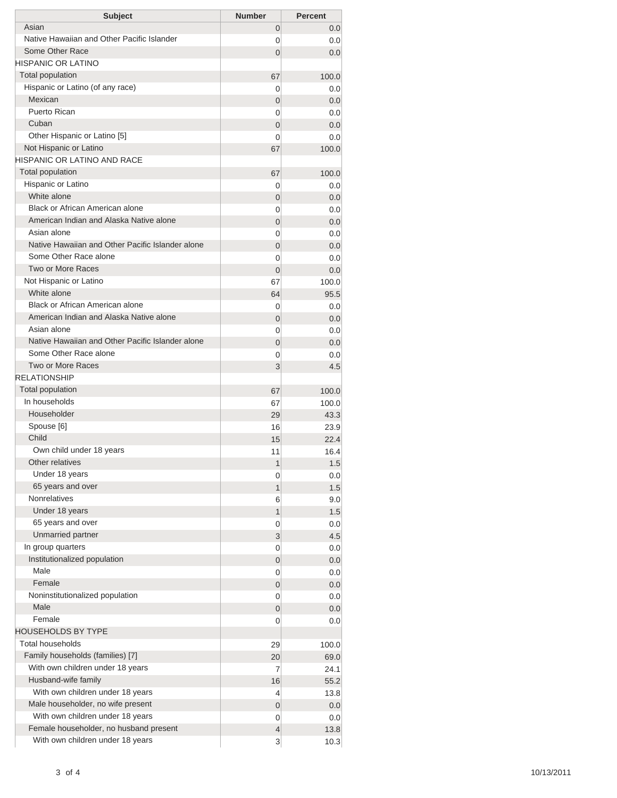| <b>Subject</b>                                                  | <b>Number</b>  | <b>Percent</b> |
|-----------------------------------------------------------------|----------------|----------------|
| Asian                                                           | 0              | 0.0            |
| Native Hawaiian and Other Pacific Islander                      | 0              | 0.0            |
| Some Other Race                                                 | $\Omega$       | 0.0            |
| <b>HISPANIC OR LATINO</b>                                       |                |                |
| <b>Total population</b>                                         | 67             | 100.0          |
| Hispanic or Latino (of any race)                                | 0              | 0.0            |
| Mexican                                                         | 0              | 0.0            |
| Puerto Rican                                                    | 0              | 0.0            |
| Cuban                                                           | $\overline{0}$ | 0.0            |
| Other Hispanic or Latino [5]                                    | 0              | 0.0            |
| Not Hispanic or Latino                                          | 67             | 100.0          |
| <b>HISPANIC OR LATINO AND RACE</b>                              |                |                |
| <b>Total population</b>                                         | 67             | 100.0          |
| Hispanic or Latino                                              | 0              | 0.0            |
| White alone                                                     | 0              | 0.0            |
| Black or African American alone                                 | 0              | 0.0            |
| American Indian and Alaska Native alone                         | 0              | 0.0            |
| Asian alone                                                     | 0              | 0.0            |
| Native Hawaiian and Other Pacific Islander alone                | $\overline{0}$ | 0.0            |
| Some Other Race alone                                           | 0              | 0.0            |
| Two or More Races                                               | $\overline{0}$ | 0.0            |
| Not Hispanic or Latino                                          | 67             | 100.0          |
| White alone                                                     | 64             | 95.5           |
| Black or African American alone                                 | 0              | 0.0            |
| American Indian and Alaska Native alone                         | 0              | 0.0            |
| Asian alone<br>Native Hawaiian and Other Pacific Islander alone | 0              | 0.0            |
| Some Other Race alone                                           | $\overline{0}$ | 0.0            |
| <b>Two or More Races</b>                                        | 0              | 0.0            |
| <b>RELATIONSHIP</b>                                             | 3              | 4.5            |
| Total population                                                |                |                |
| In households                                                   | 67             | 100.0          |
| Householder                                                     | 67             | 100.0<br>43.3  |
| Spouse [6]                                                      | 29<br>16       | 23.9           |
| Child                                                           | 15             | 22.4           |
| Own child under 18 years                                        | 11             | 16.4           |
| Other relatives                                                 | 1              | 1.5            |
| Under 18 years                                                  | 0              | 0.0            |
| 65 years and over                                               | 1              | 1.5            |
| <b>Nonrelatives</b>                                             | 6              | 9.0            |
| Under 18 years                                                  | 1              | 1.5            |
| 65 years and over                                               | 0              | 0.0            |
| Unmarried partner                                               | 3              | 4.5            |
| In group quarters                                               | 0              | 0.0            |
| Institutionalized population                                    | 0              | 0.0            |
| Male                                                            | 0              | 0.0            |
| Female                                                          | 0              | 0.0            |
| Noninstitutionalized population                                 | 0              | 0.0            |
| Male                                                            | 0              | 0.0            |
| Female                                                          | 0              | 0.0            |
| <b>HOUSEHOLDS BY TYPE</b>                                       |                |                |
| <b>Total households</b>                                         | 29             | 100.0          |
| Family households (families) [7]                                | 20             | 69.0           |
| With own children under 18 years                                | 7              | 24.1           |
| Husband-wife family                                             | 16             | 55.2           |
| With own children under 18 years                                | 4              | 13.8           |
| Male householder, no wife present                               | 0              | 0.0            |
| With own children under 18 years                                | 0              | 0.0            |
| Female householder, no husband present                          | 4              | 13.8           |
| With own children under 18 years                                | 3              | 10.3           |